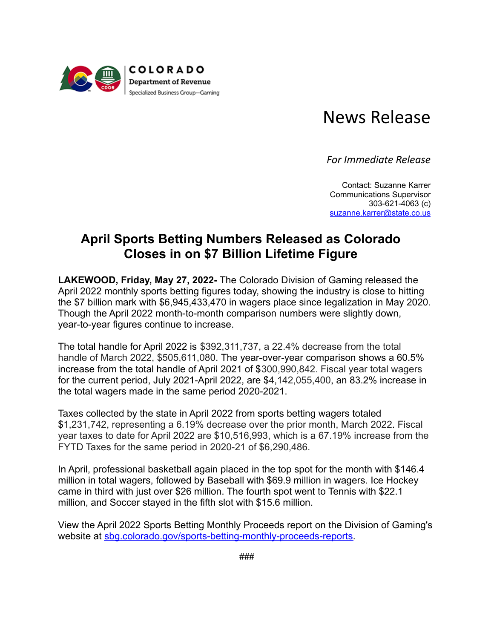

## News Release

*For Immediate Release*

Contact: Suzanne Karrer Communications Supervisor 303-621-4063 (c) [suzanne.karrer@state.co.us](mailto:suzanne.karrer@state.co.us)

## **April Sports Betting Numbers Released as Colorado Closes in on \$7 Billion Lifetime Figure**

**LAKEWOOD, Friday, May 27, 2022-** The Colorado Division of Gaming released the April 2022 monthly sports betting figures today, showing the industry is close to hitting the \$7 billion mark with \$6,945,433,470 in wagers place since legalization in May 2020. Though the April 2022 month-to-month comparison numbers were slightly down, year-to-year figures continue to increase.

The total handle for April 2022 is \$392,311,737, a 22.4% decrease from the total handle of March 2022, \$505,611,080. The year-over-year comparison shows a 60.5% increase from the total handle of April 2021 of \$300,990,842. Fiscal year total wagers for the current period, July 2021-April 2022, are \$4,142,055,400, an 83.2% increase in the total wagers made in the same period 2020-2021.

Taxes collected by the state in April 2022 from sports betting wagers totaled \$1,231,742, representing a 6.19% decrease over the prior month, March 2022. Fiscal year taxes to date for April 2022 are \$10,516,993, which is a 67.19% increase from the FYTD Taxes for the same period in 2020-21 of \$6,290,486.

In April, professional basketball again placed in the top spot for the month with \$146.4 million in total wagers, followed by Baseball with \$69.9 million in wagers. Ice Hockey came in third with just over \$26 million. The fourth spot went to Tennis with \$22.1 million, and Soccer stayed in the fifth slot with \$15.6 million.

View the April 2022 Sports Betting Monthly Proceeds report on the Division of Gaming's website at [sbg.colorado.gov/sports-betting-monthly-proceeds-reports.](https://sbg.colorado.gov/sports-betting-monthly-proceeds-reports)